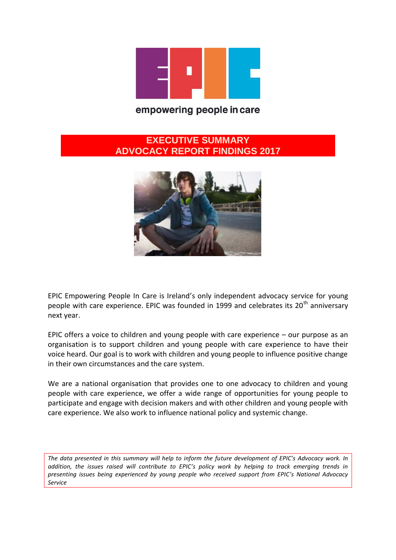

#### empowering people in care

#### **EXECUTIVE SUMMARY ADVOCACY REPORT FINDINGS 2017**



EPIC Empowering People In Care is Ireland's only independent advocacy service for young people with care experience. EPIC was founded in 1999 and celebrates its  $20<sup>th</sup>$  anniversary next year.

EPIC offers a voice to children and young people with care experience – our purpose as an organisation is to support children and young people with care experience to have their voice heard. Our goal is to work with children and young people to influence positive change in their own circumstances and the care system.

We are a national organisation that provides one to one advocacy to children and young people with care experience, we offer a wide range of opportunities for young people to participate and engage with decision makers and with other children and young people with care experience. We also work to influence national policy and systemic change.

*The data presented in this summary will help to inform the future development of EPIC's Advocacy work. In addition, the issues raised will contribute to EPIC's policy work by helping to track emerging trends in presenting issues being experienced by young people who received support from EPIC's National Advocacy Service*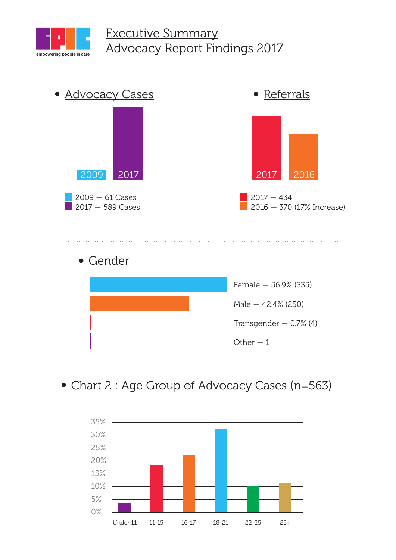

## Executive Summary Advocacy Report Findings 2017





# • Chart 2 : Age Group of Advocacy Cases (n=563)

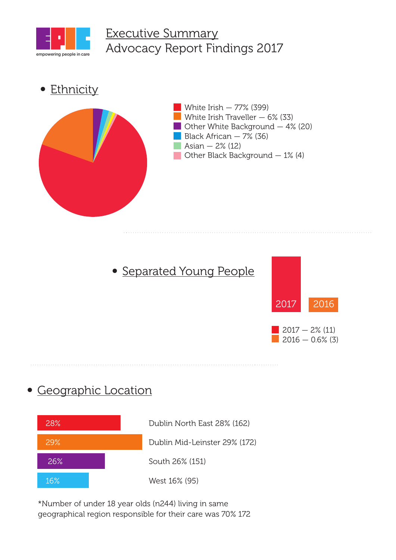

## Executive Summary Advocacy Report Findings 2017

• Ethnicity



# • Separated Young People



### Geographic Location



\*Number of under 18 year olds (n244) living in same geographical region responsible for their care was 70% 172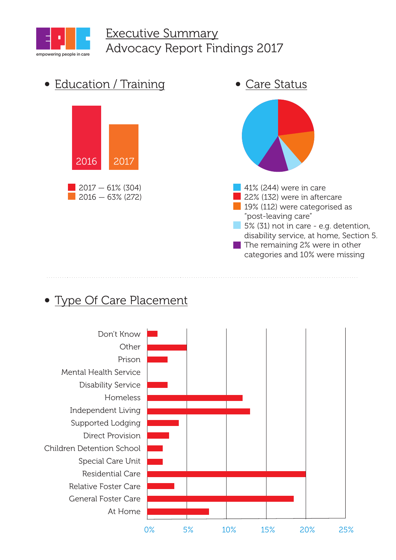

## Executive Summary Advocacy Report Findings 2017



## Type Of Care Placement

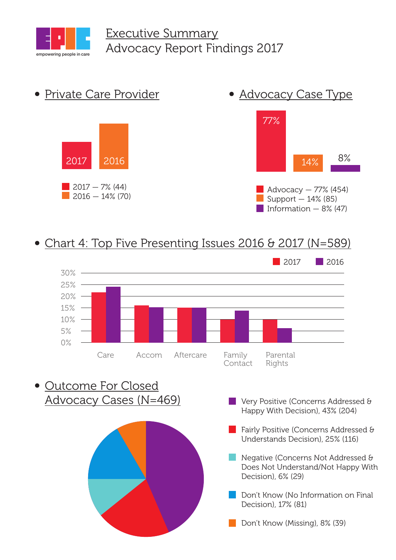



#### Chart 4: Top Five Presenting Issues 2016 & 2017 (N=589)



Outcome For Closed Advocacy Cases (N=469)



- **Very Positive (Concerns Addressed &** Happy With Decision), 43% (204)
- **Fairly Positive (Concerns Addressed &** Understands Decision), 25% (116)
- **Negative (Concerns Not Addressed &** Does Not Understand/Not Happy With Decision), 6% (29)
- Don't Know (No Information on Final Decision), 17% (81)

Don't Know (Missing), 8% (39)